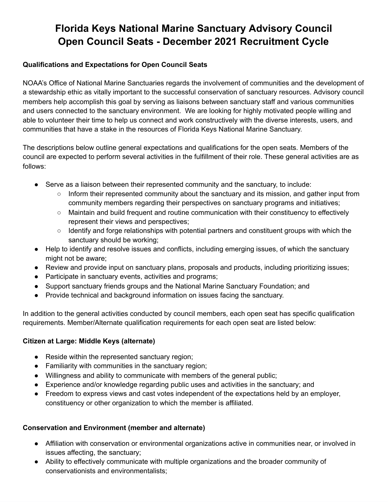# **Florida Keys National Marine Sanctuary Advisory Council Open Council Seats - December 2021 Recruitment Cycle**

# **Qualifications and Expectations for Open Council Seats**

 NOAA's Office of National Marine Sanctuaries regards the involvement of communities and the development of a stewardship ethic as vitally important to the successful conservation of sanctuary resources. Advisory council members help accomplish this goal by serving as liaisons between sanctuary staff and various communities and users connected to the sanctuary environment. We are looking for highly motivated people willing and able to volunteer their time to help us connect and work constructively with the diverse interests, users, and communities that have a stake in the resources of Florida Keys National Marine Sanctuary.

 The descriptions below outline general expectations and qualifications for the open seats. Members of the council are expected to perform several activities in the fulfillment of their role. These general activities are as follows:

- ● Serve as a liaison between their represented community and the sanctuary, to include:
	- Inform their represented community about the sanctuary and its mission, and gather input from community members regarding their perspectives on sanctuary programs and initiatives;
	- Maintain and build frequent and routine communication with their constituency to effectively represent their views and perspectives;
	- Identify and forge relationships with potential partners and constituent groups with which the sanctuary should be working;
- ● Help to identify and resolve issues and conflicts, including emerging issues, of which the sanctuary might not be aware;
- Review and provide input on sanctuary plans, proposals and products, including prioritizing issues;
- Participate in sanctuary events, activities and programs;
- Support sanctuary friends groups and the National Marine Sanctuary Foundation; and
- Provide technical and background information on issues facing the sanctuary.

 In addition to the general activities conducted by council members, each open seat has specific qualification requirements. Member/Alternate qualification requirements for each open seat are listed below:

# **Citizen at Large: Middle Keys (alternate)**

- Reside within the represented sanctuary region;
- Familiarity with communities in the sanctuary region;
- Willingness and ability to communicate with members of the general public;
- Experience and/or knowledge regarding public uses and activities in the sanctuary; and
- ● Freedom to express views and cast votes independent of the expectations held by an employer, constituency or other organization to which the member is affiliated.

# **Conservation and Environment (member and alternate)**

- ● Affiliation with conservation or environmental organizations active in communities near, or involved in issues affecting, the sanctuary;
- ● Ability to effectively communicate with multiple organizations and the broader community of conservationists and environmentalists;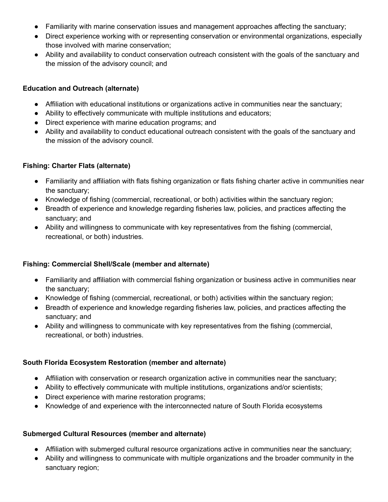- Familiarity with marine conservation issues and management approaches affecting the sanctuary;
- ● Direct experience working with or representing conservation or environmental organizations, especially those involved with marine conservation;
- ● Ability and availability to conduct conservation outreach consistent with the goals of the sanctuary and the mission of the advisory council; and

#### **Education and Outreach (alternate)**

- Affiliation with educational institutions or organizations active in communities near the sanctuary;
- Ability to effectively communicate with multiple institutions and educators;
- Direct experience with marine education programs; and
- ● Ability and availability to conduct educational outreach consistent with the goals of the sanctuary and the mission of the advisory council.

#### **Fishing: Charter Flats (alternate)**

- ● Familiarity and affiliation with flats fishing organization or flats fishing charter active in communities near the sanctuary;
- Knowledge of fishing (commercial, recreational, or both) activities within the sanctuary region;
- ● Breadth of experience and knowledge regarding fisheries law, policies, and practices affecting the sanctuary; and
- ● Ability and willingness to communicate with key representatives from the fishing (commercial, recreational, or both) industries.

# **Fishing: Commercial Shell/Scale (member and alternate)**

- ● Familiarity and affiliation with commercial fishing organization or business active in communities near the sanctuary;
- Knowledge of fishing (commercial, recreational, or both) activities within the sanctuary region;
- ● Breadth of experience and knowledge regarding fisheries law, policies, and practices affecting the sanctuary; and
- ● Ability and willingness to communicate with key representatives from the fishing (commercial, recreational, or both) industries.

# **South Florida Ecosystem Restoration (member and alternate)**

- Affiliation with conservation or research organization active in communities near the sanctuary;
- Ability to effectively communicate with multiple institutions, organizations and/or scientists;
- Direct experience with marine restoration programs;
- Knowledge of and experience with the interconnected nature of South Florida ecosystems

# **Submerged Cultural Resources (member and alternate)**

- Affiliation with submerged cultural resource organizations active in communities near the sanctuary;
- ● Ability and willingness to communicate with multiple organizations and the broader community in the sanctuary region;